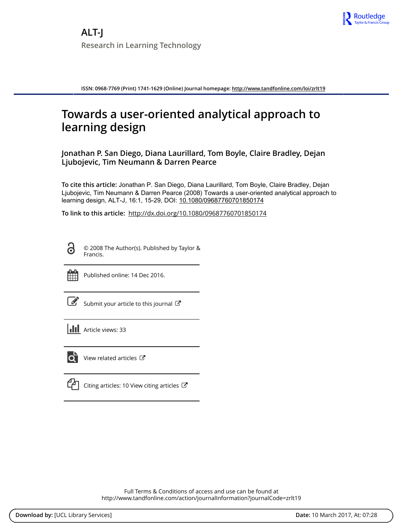

**ISSN: 0968-7769 (Print) 1741-1629 (Online) Journal homepage:<http://www.tandfonline.com/loi/zrlt19>**

# **Towards a user-oriented analytical approach to learning design**

**Jonathan P. San Diego, Diana Laurillard, Tom Boyle, Claire Bradley, Dejan Ljubojevic, Tim Neumann & Darren Pearce**

**To cite this article:** Jonathan P. San Diego, Diana Laurillard, Tom Boyle, Claire Bradley, Dejan Ljubojevic, Tim Neumann & Darren Pearce (2008) Towards a user-oriented analytical approach to learning design, ALT-J, 16:1, 15-29, DOI: [10.1080/09687760701850174](http://www.tandfonline.com/action/showCitFormats?doi=10.1080/09687760701850174)

**To link to this article:** <http://dx.doi.org/10.1080/09687760701850174>

6

© 2008 The Author(s). Published by Taylor & Francis.



Published online: 14 Dec 2016.

| $\mathcal{G}$ Submit your article to this journal |  |  |
|---------------------------------------------------|--|--|
|                                                   |  |  |

| <b>III</b> Article views: 33 |  |
|------------------------------|--|
|                              |  |



[View related articles](http://www.tandfonline.com/doi/mlt/10.1080/09687760701850174) C

|--|

[Citing articles: 10 View citing articles](http://www.tandfonline.com/doi/citedby/10.1080/09687760701850174#tabModule)  $\mathbb{Z}$ 

Full Terms & Conditions of access and use can be found at <http://www.tandfonline.com/action/journalInformation?journalCode=zrlt19>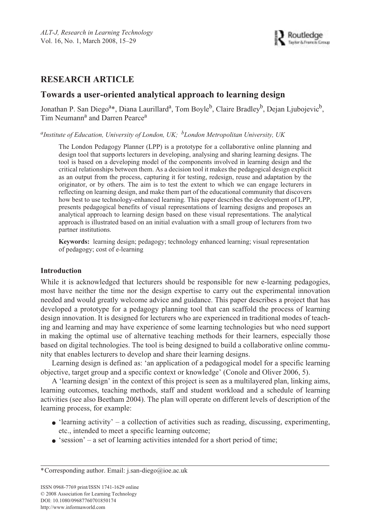# **RESEARCH ARTICLE**

## **Towards a user-oriented analytical approach to learning design**

Jonathan P. San Diego<sup>a</sup>\*, Diana Laurillard<sup>a</sup>, Tom Boyle<sup>b</sup>, Claire Bradley<sup>b</sup>, Dejan Ljubojevic<sup>b</sup>, Tim Neumann<sup>a</sup> and Darren Pearce<sup>a</sup>

*a Institute of Education, University of London, UK; <sup>b</sup> London Metropolitan University, UK*

The London Pedagogy Planner (LPP) is a prototype for a collaborative online planning and design tool that supports lecturers in developing, analysing and sharing learning designs. The tool is based on a developing model of the components involved in learning design and the critical relationships between them. As a decision tool it makes the pedagogical design explicit as an output from the process, capturing it for testing, redesign, reuse and adaptation by the originator, or by others. The aim is to test the extent to which we can engage lecturers in reflecting on learning design, and make them part of the educational community that discovers how best to use technology-enhanced learning. This paper describes the development of LPP, presents pedagogical benefits of visual representations of learning designs and proposes an analytical approach to learning design based on these visual representations. The analytical approach is illustrated based on an initial evaluation with a small group of lecturers from two partner institutions.

**Keywords:** learning design; pedagogy; technology enhanced learning; visual representation of pedagogy; cost of e-learning

## **Introduction**

While it is acknowledged that lecturers should be responsible for new e-learning pedagogies, most have neither the time nor the design expertise to carry out the experimental innovation needed and would greatly welcome advice and guidance. This paper describes a project that has developed a prototype for a pedagogy planning tool that can scaffold the process of learning design innovation. It is designed for lecturers who are experienced in traditional modes of teaching and learning and may have experience of some learning technologies but who need support in making the optimal use of alternative teaching methods for their learners, especially those based on digital technologies. The tool is being designed to build a collaborative online community that enables lecturers to develop and share their learning designs.

Learning design is defined as: 'an application of a pedagogical model for a specific learning objective, target group and a specific context or knowledge' (Conole and Oliver 2006, 5).

A 'learning design' in the context of this project is seen as a multilayered plan, linking aims, learning outcomes, teaching methods, staff and student workload and a schedule of learning activities (see also Beetham 2004). The plan will operate on different levels of description of the learning process, for example:

- $\bullet$  'learning activity' a collection of activities such as reading, discussing, experimenting, etc., intended to meet a specific learning outcome;
- $\bullet$  'session' a set of learning activities intended for a short period of time;

<sup>\*</sup>Corresponding author. Email: j.san-diego@ioe.ac.uk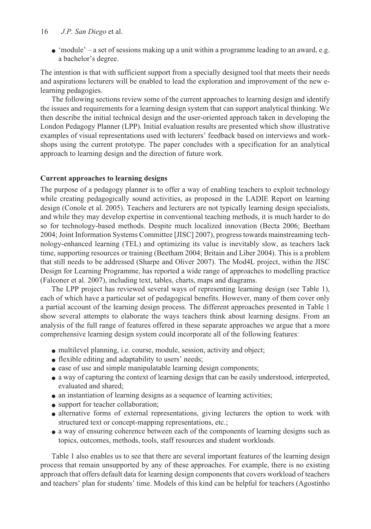### 16 *J.P. San Diego* et al.

 $\bullet$  'module' – a set of sessions making up a unit within a programme leading to an award, e.g. a bachelor's degree.

The intention is that with sufficient support from a specially designed tool that meets their needs and aspirations lecturers will be enabled to lead the exploration and improvement of the new elearning pedagogies.

The following sections review some of the current approaches to learning design and identify the issues and requirements for a learning design system that can support analytical thinking. We then describe the initial technical design and the user-oriented approach taken in developing the London Pedagogy Planner (LPP). Initial evaluation results are presented which show illustrative examples of visual representations used with lecturers' feedback based on interviews and workshops using the current prototype. The paper concludes with a specification for an analytical approach to learning design and the direction of future work.

## **Current approaches to learning designs**

The purpose of a pedagogy planner is to offer a way of enabling teachers to exploit technology while creating pedagogically sound activities, as proposed in the LADIE Report on learning design (Conole et al. 2005). Teachers and lecturers are not typically learning design specialists, and while they may develop expertise in conventional teaching methods, it is much harder to do so for technology-based methods. Despite much localized innovation (Becta 2006; Beetham 2004; Joint Information Systems Committee [JISC] 2007), progress towards mainstreaming technology-enhanced learning (TEL) and optimizing its value is inevitably slow, as teachers lack time, supporting resources or training (Beetham 2004; Britain and Liber 2004). This is a problem that still needs to be addressed (Sharpe and Oliver 2007). The Mod4L project, within the JISC Design for Learning Programme, has reported a wide range of approaches to modelling practice (Falconer et al. 2007), including text, tables, charts, maps and diagrams.

The LPP project has reviewed several ways of representing learning design (see Table 1), each of which have a particular set of pedagogical benefits. However, many of them cover only a partial account of the learning design process. The different approaches presented in Table 1 show several attempts to elaborate the ways teachers think about learning designs. From an analysis of the full range of features offered in these separate approaches we argue that a more comprehensive learning design system could incorporate all of the following features:

- multilevel planning, i.e. course, module, session, activity and object;
- flexible editing and adaptability to users' needs;
- ease of use and simple manipulatable learning design components;
- a way of capturing the context of learning design that can be easily understood, interpreted, evaluated and shared;
- an instantiation of learning designs as a sequence of learning activities;
- support for teacher collaboration;
- alternative forms of external representations, giving lecturers the option to work with structured text or concept-mapping representations, etc.;
- a way of ensuring coherence between each of the components of learning designs such as topics, outcomes, methods, tools, staff resources and student workloads.

Table 1 also enables us to see that there are several important features of the learning design process that remain unsupported by any of these approaches. For example, there is no existing approach that offers default data for learning design components that covers workload of teachers and teachers' plan for students' time. Models of this kind can be helpful for teachers (Agostinho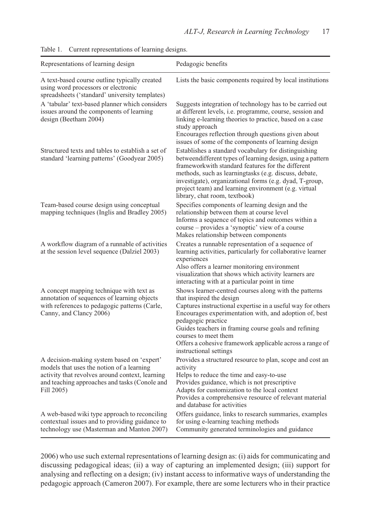| Representations of learning design                                                                                                                                                                        | Pedagogic benefits                                                                                                                                                                                                                                                                                                                                                                                     |
|-----------------------------------------------------------------------------------------------------------------------------------------------------------------------------------------------------------|--------------------------------------------------------------------------------------------------------------------------------------------------------------------------------------------------------------------------------------------------------------------------------------------------------------------------------------------------------------------------------------------------------|
| A text-based course outline typically created<br>using word processors or electronic<br>spreadsheets ('standard' university templates)                                                                    | Lists the basic components required by local institutions                                                                                                                                                                                                                                                                                                                                              |
| A 'tabular' text-based planner which considers<br>issues around the components of learning<br>design (Beetham 2004)                                                                                       | Suggests integration of technology has to be carried out<br>at different levels, i.e. programme, course, session and<br>linking e-learning theories to practice, based on a case<br>study approach<br>Encourages reflection through questions given about<br>issues of some of the components of learning design                                                                                       |
| Structured texts and tables to establish a set of<br>standard 'learning patterns' (Goodyear 2005)                                                                                                         | Establishes a standard vocabulary for distinguishing<br>betweendifferent types of learning design, using a pattern<br>frameworkwith standard features for the different<br>methods, such as learningtasks (e.g. discuss, debate,<br>investigate), organizational forms (e.g. dyad, T-group,<br>project team) and learning environment (e.g. virtual<br>library, chat room, textbook)                   |
| Team-based course design using conceptual<br>mapping techniques (Inglis and Bradley 2005)                                                                                                                 | Specifies components of learning design and the<br>relationship between them at course level<br>Informs a sequence of topics and outcomes within a<br>course - provides a 'synoptic' view of a course<br>Makes relationship between components                                                                                                                                                         |
| A workflow diagram of a runnable of activities<br>at the session level sequence (Dalziel 2003)                                                                                                            | Creates a runnable representation of a sequence of<br>learning activities, particularly for collaborative learner<br>experiences<br>Also offers a learner monitoring environment<br>visualization that shows which activity learners are<br>interacting with at a particular point in time                                                                                                             |
| A concept mapping technique with text as<br>annotation of sequences of learning objects<br>with references to pedagogic patterns (Carle,<br>Canny, and Clancy 2006)                                       | Shows learner-centred courses along with the patterns<br>that inspired the design<br>Captures instructional expertise in a useful way for others<br>Encourages experimentation with, and adoption of, best<br>pedagogic practice<br>Guides teachers in framing course goals and refining<br>courses to meet them<br>Offers a cohesive framework applicable across a range of<br>instructional settings |
| A decision-making system based on 'expert'<br>models that uses the notion of a learning<br>activity that revolves around context, learning<br>and teaching approaches and tasks (Conole and<br>Fill 2005) | Provides a structured resource to plan, scope and cost an<br>activity<br>Helps to reduce the time and easy-to-use<br>Provides guidance, which is not prescriptive<br>Adapts for customization to the local context<br>Provides a comprehensive resource of relevant material<br>and database for activities                                                                                            |
| A web-based wiki type approach to reconciling<br>contextual issues and to providing guidance to<br>technology use (Masterman and Manton 2007)                                                             | Offers guidance, links to research summaries, examples<br>for using e-learning teaching methods<br>Community generated terminologies and guidance                                                                                                                                                                                                                                                      |

| Table 1. | Current representations of learning designs. |  |  |  |
|----------|----------------------------------------------|--|--|--|
|----------|----------------------------------------------|--|--|--|

2006) who use such external representations of learning design as: (i) aids for communicating and discussing pedagogical ideas; (ii) a way of capturing an implemented design; (iii) support for analysing and reflecting on a design; (iv) instant access to informative ways of understanding the pedagogic approach (Cameron 2007). For example, there are some lecturers who in their practice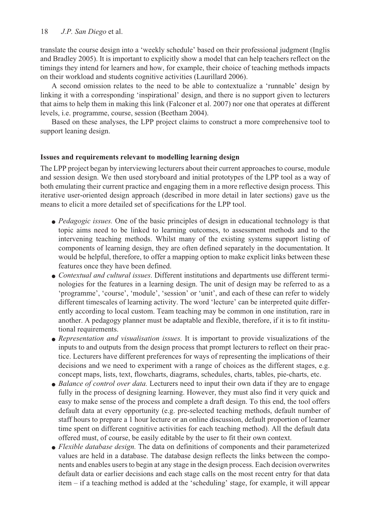translate the course design into a 'weekly schedule' based on their professional judgment (Inglis and Bradley 2005). It is important to explicitly show a model that can help teachers reflect on the timings they intend for learners and how, for example, their choice of teaching methods impacts on their workload and students cognitive activities (Laurillard 2006).

A second omission relates to the need to be able to contextualize a 'runnable' design by linking it with a corresponding 'inspirational' design, and there is no support given to lecturers that aims to help them in making this link (Falconer et al. 2007) nor one that operates at different levels, i.e. programme, course, session (Beetham 2004).

Based on these analyses, the LPP project claims to construct a more comprehensive tool to support leaning design.

## **Issues and requirements relevant to modelling learning design**

The LPP project began by interviewing lecturers about their current approaches to course, module and session design. We then used storyboard and initial prototypes of the LPP tool as a way of both emulating their current practice and engaging them in a more reflective design process. This iterative user-oriented design approach (described in more detail in later sections) gave us the means to elicit a more detailed set of specifications for the LPP tool.

- *Pedagogic issues.* One of the basic principles of design in educational technology is that topic aims need to be linked to learning outcomes, to assessment methods and to the intervening teaching methods. Whilst many of the existing systems support listing of components of learning design, they are often defined separately in the documentation. It would be helpful, therefore, to offer a mapping option to make explicit links between these features once they have been defined.
- *Contextual and cultural issues*. Different institutions and departments use different terminologies for the features in a learning design. The unit of design may be referred to as a 'programme', 'course', 'module', 'session' or 'unit', and each of these can refer to widely different timescales of learning activity. The word 'lecture' can be interpreted quite differently according to local custom. Team teaching may be common in one institution, rare in another. A pedagogy planner must be adaptable and flexible, therefore, if it is to fit institutional requirements.
- *Representation and visualisation issues*. It is important to provide visualizations of the inputs to and outputs from the design process that prompt lecturers to reflect on their practice. Lecturers have different preferences for ways of representing the implications of their decisions and we need to experiment with a range of choices as the different stages, e.g. concept maps, lists, text, flowcharts, diagrams, schedules, charts, tables, pie-charts, etc.
- *Balance of control over data*. Lecturers need to input their own data if they are to engage fully in the process of designing learning. However, they must also find it very quick and easy to make sense of the process and complete a draft design. To this end, the tool offers default data at every opportunity (e.g. pre-selected teaching methods, default number of staff hours to prepare a 1 hour lecture or an online discussion, default proportion of learner time spent on different cognitive activities for each teaching method). All the default data offered must, of course, be easily editable by the user to fit their own context.
- *Flexible database design.* The data on definitions of components and their parameterized values are held in a database. The database design reflects the links between the components and enables users to begin at any stage in the design process. Each decision overwrites default data or earlier decisions and each stage calls on the most recent entry for that data item – if a teaching method is added at the 'scheduling' stage, for example, it will appear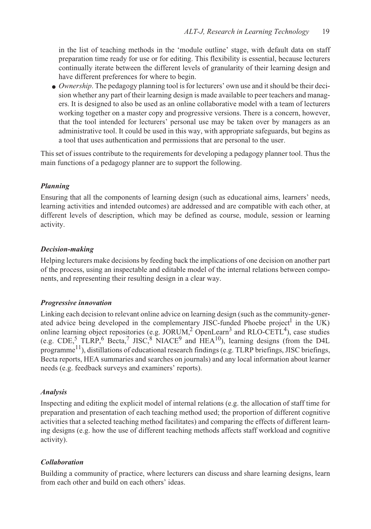in the list of teaching methods in the 'module outline' stage, with default data on staff preparation time ready for use or for editing. This flexibility is essential, because lecturers continually iterate between the different levels of granularity of their learning design and have different preferences for where to begin.

● *Ownership*. The pedagogy planning tool is for lecturers' own use and it should be their decision whether any part of their learning design is made available to peer teachers and managers. It is designed to also be used as an online collaborative model with a team of lecturers working together on a master copy and progressive versions. There is a concern, however, that the tool intended for lecturers' personal use may be taken over by managers as an administrative tool. It could be used in this way, with appropriate safeguards, but begins as a tool that uses authentication and permissions that are personal to the user.

This set of issues contribute to the requirements for developing a pedagogy planner tool. Thus the main functions of a pedagogy planner are to support the following.

## *Planning*

Ensuring that all the components of learning design (such as educational aims, learners' needs, learning activities and intended outcomes) are addressed and are compatible with each other, at different levels of description, which may be defined as course, module, session or learning activity.

## *Decision-making*

Helping lecturers make decisions by feeding back the implications of one decision on another part of the process, using an inspectable and editable model of the internal relations between components, and representing their resulting design in a clear way.

## *Progressive innovation*

Linking each decision to relevant online advice on learning design (such as the community-generated advice being developed in the complementary JISC-funded Phoebe project<sup>1</sup> in the UK) online learning object repositories (e.g.  $JORUM<sub>1</sub><sup>2</sup> OpenLearn<sup>3</sup>$  and RLO-CETL<sup>4</sup>), case studies (e.g.  $CDE<sub>2</sub>$ ,  $TLRP<sub>1</sub>$ <sup>6</sup> Becta<sub>r</sub><sup>7</sup> JISC<sub>i</sub><sup>8</sup> NIACE<sup>9</sup> and  $HEA<sup>10</sup>$ ), learning designs (from the D4L programme<sup>11</sup>), distillations of educational research findings (e.g. TLRP briefings, JISC briefings, Becta reports, HEA summaries and searches on journals) and any local information about learner needs (e.g. feedback surveys and examiners' reports).

## *Analysis*

Inspecting and editing the explicit model of internal relations (e.g. the allocation of staff time for preparation and presentation of each teaching method used; the proportion of different cognitive activities that a selected teaching method facilitates) and comparing the effects of different learning designs (e.g. how the use of different teaching methods affects staff workload and cognitive activity).

## *Collaboration*

Building a community of practice, where lecturers can discuss and share learning designs, learn from each other and build on each others' ideas.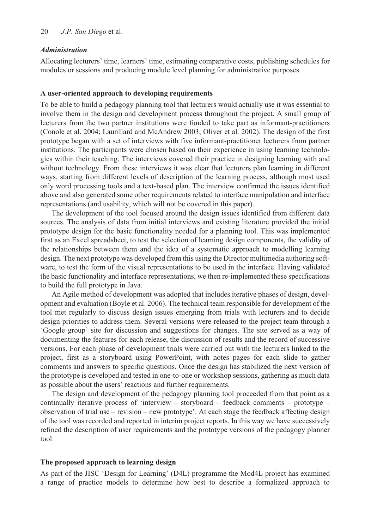#### *Administration*

Allocating lecturers' time, learners' time, estimating comparative costs, publishing schedules for modules or sessions and producing module level planning for administrative purposes.

#### **A user-oriented approach to developing requirements**

To be able to build a pedagogy planning tool that lecturers would actually use it was essential to involve them in the design and development process throughout the project. A small group of lecturers from the two partner institutions were funded to take part as informant-practitioners (Conole et al. 2004; Laurillard and McAndrew 2003; Oliver et al. 2002). The design of the first prototype began with a set of interviews with five informant-practitioner lecturers from partner institutions. The participants were chosen based on their experience in using learning technologies within their teaching. The interviews covered their practice in designing learning with and without technology. From these interviews it was clear that lecturers plan learning in different ways, starting from different levels of description of the learning process, although most used only word processing tools and a text-based plan. The interview confirmed the issues identified above and also generated some other requirements related to interface manipulation and interface representations (and usability, which will not be covered in this paper).

The development of the tool focused around the design issues identified from different data sources. The analysis of data from initial interviews and existing literature provided the initial prototype design for the basic functionality needed for a planning tool. This was implemented first as an Excel spreadsheet, to test the selection of learning design components, the validity of the relationships between them and the idea of a systematic approach to modelling learning design. The next prototype was developed from this using the Director multimedia authoring software, to test the form of the visual representations to be used in the interface. Having validated the basic functionality and interface representations, we then re-implemented these specifications to build the full prototype in Java.

An Agile method of development was adopted that includes iterative phases of design, development and evaluation (Boyle et al. 2006). The technical team responsible for development of the tool met regularly to discuss design issues emerging from trials with lecturers and to decide design priorities to address them. Several versions were released to the project team through a 'Google group' site for discussion and suggestions for changes. The site served as a way of documenting the features for each release, the discussion of results and the record of successive versions. For each phase of development trials were carried out with the lecturers linked to the project, first as a storyboard using PowerPoint, with notes pages for each slide to gather comments and answers to specific questions. Once the design has stabilized the next version of the prototype is developed and tested in one-to-one or workshop sessions, gathering as much data as possible about the users' reactions and further requirements.

The design and development of the pedagogy planning tool proceeded from that point as a continually iterative process of 'interview – storyboard – feedback comments – prototype – observation of trial use – revision – new prototype'. At each stage the feedback affecting design of the tool was recorded and reported in interim project reports. In this way we have successively refined the description of user requirements and the prototype versions of the pedagogy planner tool.

#### **The proposed approach to learning design**

As part of the JISC 'Design for Learning' (D4L) programme the Mod4L project has examined a range of practice models to determine how best to describe a formalized approach to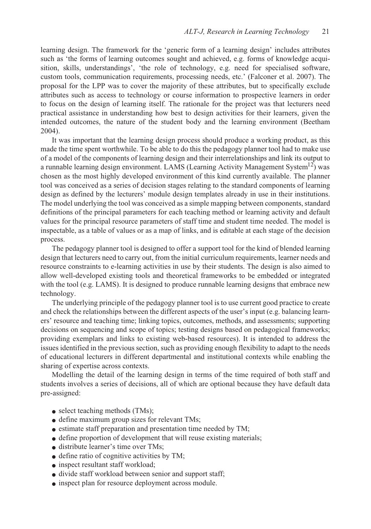learning design. The framework for the 'generic form of a learning design' includes attributes such as 'the forms of learning outcomes sought and achieved, e.g. forms of knowledge acquisition, skills, understandings', 'the role of technology, e.g. need for specialised software, custom tools, communication requirements, processing needs, etc.' (Falconer et al. 2007). The proposal for the LPP was to cover the majority of these attributes, but to specifically exclude attributes such as access to technology or course information to prospective learners in order to focus on the design of learning itself. The rationale for the project was that lecturers need practical assistance in understanding how best to design activities for their learners, given the intended outcomes, the nature of the student body and the learning environment (Beetham 2004).

It was important that the learning design process should produce a working product, as this made the time spent worthwhile. To be able to do this the pedagogy planner tool had to make use of a model of the components of learning design and their interrelationships and link its output to a runnable learning design environment. LAMS (Learning Activity Management System<sup>12</sup>) was chosen as the most highly developed environment of this kind currently available. The planner tool was conceived as a series of decision stages relating to the standard components of learning design as defined by the lecturers' module design templates already in use in their institutions. The model underlying the tool was conceived as a simple mapping between components, standard definitions of the principal parameters for each teaching method or learning activity and default values for the principal resource parameters of staff time and student time needed. The model is inspectable, as a table of values or as a map of links, and is editable at each stage of the decision process.

The pedagogy planner tool is designed to offer a support tool for the kind of blended learning design that lecturers need to carry out, from the initial curriculum requirements, learner needs and resource constraints to e-learning activities in use by their students. The design is also aimed to allow well-developed existing tools and theoretical frameworks to be embedded or integrated with the tool (e.g. LAMS). It is designed to produce runnable learning designs that embrace new technology.

The underlying principle of the pedagogy planner tool is to use current good practice to create and check the relationships between the different aspects of the user's input (e.g. balancing learners' resource and teaching time; linking topics, outcomes, methods, and assessments; supporting decisions on sequencing and scope of topics; testing designs based on pedagogical frameworks; providing exemplars and links to existing web-based resources). It is intended to address the issues identified in the previous section, such as providing enough flexibility to adapt to the needs of educational lecturers in different departmental and institutional contexts while enabling the sharing of expertise across contexts.

Modelling the detail of the learning design in terms of the time required of both staff and students involves a series of decisions, all of which are optional because they have default data pre-assigned:

- select teaching methods (TMs);
- define maximum group sizes for relevant TMs;
- estimate staff preparation and presentation time needed by TM;
- define proportion of development that will reuse existing materials;
- distribute learner's time over TMs;
- define ratio of cognitive activities by TM;
- inspect resultant staff workload;
- divide staff workload between senior and support staff;
- inspect plan for resource deployment across module.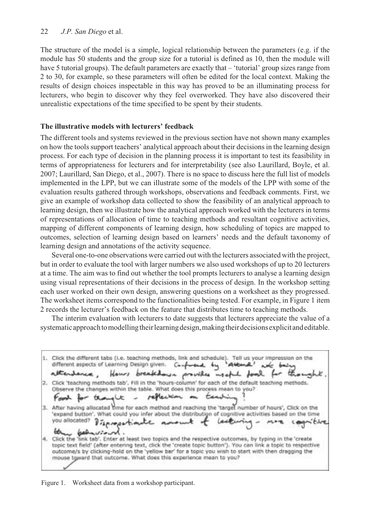#### 22 *J.P. San Diego* et al.

The structure of the model is a simple, logical relationship between the parameters (e.g. if the module has 50 students and the group size for a tutorial is defined as 10, then the module will have 5 tutorial groups). The default parameters are exactly that – 'tutorial' group sizes range from 2 to 30, for example, so these parameters will often be edited for the local context. Making the results of design choices inspectable in this way has proved to be an illuminating process for lecturers, who begin to discover why they feel overworked. They have also discovered their unrealistic expectations of the time specified to be spent by their students.

#### **The illustrative models with lecturers' feedback**

The different tools and systems reviewed in the previous section have not shown many examples on how the tools support teachers' analytical approach about their decisions in the learning design process. For each type of decision in the planning process it is important to test its feasibility in terms of appropriateness for lecturers and for interpretability (see also Laurillard, Boyle, et al. 2007; Laurillard, San Diego, et al., 2007). There is no space to discuss here the full list of models implemented in the LPP, but we can illustrate some of the models of the LPP with some of the evaluation results gathered through workshops, observations and feedback comments. First, we give an example of workshop data collected to show the feasibility of an analytical approach to learning design, then we illustrate how the analytical approach worked with the lecturers in terms of representations of allocation of time to teaching methods and resultant cognitive activities, mapping of different components of learning design, how scheduling of topics are mapped to outcomes, selection of learning design based on learners' needs and the default taxonomy of learning design and annotations of the activity sequence.

Several one-to-one observations were carried out with the lecturers associated with the project, but in order to evaluate the tool with larger numbers we also used workshops of up to 20 lecturers at a time. The aim was to find out whether the tool prompts lecturers to analyse a learning design using visual representations of their decisions in the process of design. In the workshop setting each user worked on their own design, answering questions on a worksheet as they progressed. The worksheet items correspond to the functionalities being tested. For example, in Figure 1 item 2 records the lecturer's feedback on the feature that distributes time to teaching methods.

The interim evaluation with lecturers to date suggests that lecturers appreciate the value of a systematic approach to modelling their learning design, making their decisions explicit and editable.

1. Click the different tabs (i.e. teaching methods, link and schedule). Tell us your impression on the different aspects of Learning Design given.  $4u<sub>1</sub>$ Confrond Attana! attendance, provides useful food Hours breakdown 2. Click 'teaching methods tab', Fill in the 'hours-column' for each of the default teaching methods. Observe the changes within the table. What does this process mean to you? reflection ten 7 تالية 3. After having allocated time for each method and reaching the 'target number of hours', Click on the 'expand button'. What could you infer about the distribution of cognitive activities based on the time you allocated? Lecturia *Dispressionate* wind. 砥 4. Click the 'link tab'. Enter at least two topics and the respective outcomes, by typing in the 'create topic text field' (after entering text, click the 'create topic button'). You can link a topic to respective outcome/s by clicking-hold on the 'yellow bar' for a topic you wish to start with then dragging the mouse toward that outcome. What does this experience mean to you?

Figure 1. Worksheet data from a workshop participant.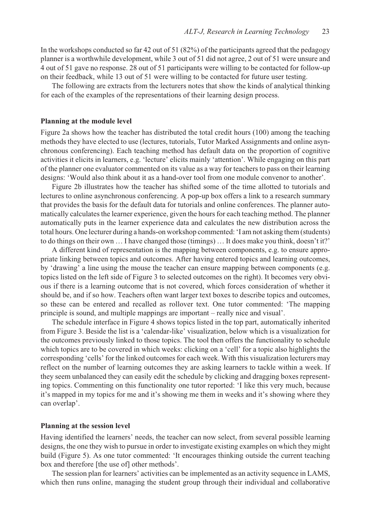In the workshops conducted so far 42 out of 51 (82%) of the participants agreed that the pedagogy planner is a worthwhile development, while 3 out of 51 did not agree, 2 out of 51 were unsure and 4 out of 51 gave no response. 28 out of 51 participants were willing to be contacted for follow-up on their feedback, while 13 out of 51 were willing to be contacted for future user testing.

The following are extracts from the lecturers notes that show the kinds of analytical thinking for each of the examples of the representations of their learning design process.

#### **Planning at the module level**

Figure 2a shows how the teacher has distributed the total credit hours (100) among the teaching methods they have elected to use (lectures, tutorials, Tutor Marked Assignments and online asynchronous conferencing). Each teaching method has default data on the proportion of cognitive activities it elicits in learners, e.g. 'lecture' elicits mainly 'attention'. While engaging on this part of the planner one evaluator commented on its value as a way for teachers to pass on their learning designs: 'Would also think about it as a hand-over tool from one module convenor to another'.

Figure 2b illustrates how the teacher has shifted some of the time allotted to tutorials and lectures to online asynchronous conferencing. A pop-up box offers a link to a research summary that provides the basis for the default data for tutorials and online conferences. The planner automatically calculates the learner experience, given the hours for each teaching method. The planner automatically puts in the learner experience data and calculates the new distribution across the total hours. One lecturer during a hands-on workshop commented: 'I am not asking them (students) to do things on their own … I have changed those (timings) … It does make you think, doesn't it?'

A different kind of representation is the mapping between components, e.g. to ensure appropriate linking between topics and outcomes. After having entered topics and learning outcomes, by 'drawing' a line using the mouse the teacher can ensure mapping between components (e.g. topics listed on the left side of Figure 3 to selected outcomes on the right). It becomes very obvious if there is a learning outcome that is not covered, which forces consideration of whether it should be, and if so how. Teachers often want larger text boxes to describe topics and outcomes, so these can be entered and recalled as rollover text. One tutor commented: 'The mapping principle is sound, and multiple mappings are important – really nice and visual'.

The schedule interface in Figure 4 shows topics listed in the top part, automatically inherited from Figure 3. Beside the list is a 'calendar-like' visualization, below which is a visualization for the outcomes previously linked to those topics. The tool then offers the functionality to schedule which topics are to be covered in which weeks: clicking on a 'cell' for a topic also highlights the corresponding 'cells' for the linked outcomes for each week. With this visualization lecturers may reflect on the number of learning outcomes they are asking learners to tackle within a week. If they seem unbalanced they can easily edit the schedule by clicking and dragging boxes representing topics. Commenting on this functionality one tutor reported: 'I like this very much, because it's mapped in my topics for me and it's showing me them in weeks and it's showing where they can overlap'.

#### **Planning at the session level**

Having identified the learners' needs, the teacher can now select, from several possible learning designs, the one they wish to pursue in order to investigate existing examples on which they might build (Figure 5). As one tutor commented: 'It encourages thinking outside the current teaching box and therefore [the use of] other methods'.

The session plan for learners' activities can be implemented as an activity sequence in LAMS, which then runs online, managing the student group through their individual and collaborative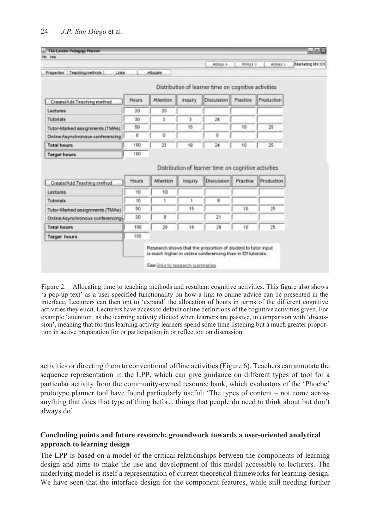|                                                                                                                                                                          |              |           |                | <b>HOSLAJI 4</b>                                     | <b>MIXAXE 3</b>  | MODAE 3    |
|--------------------------------------------------------------------------------------------------------------------------------------------------------------------------|--------------|-----------|----------------|------------------------------------------------------|------------------|------------|
| Properties Teaching methods<br>Links.                                                                                                                                    |              | Aliccate  |                |                                                      |                  |            |
|                                                                                                                                                                          |              |           |                |                                                      |                  |            |
|                                                                                                                                                                          |              |           |                | Distribution of learner time on cognitive activities |                  |            |
| Create(Add Teaching method)                                                                                                                                              | <b>Hours</b> | Attention | <b>Inquiry</b> | Discussion                                           | Fractice         | Production |
| Luctures                                                                                                                                                                 | 20           | $20 -$    |                |                                                      |                  |            |
| Tutoriale                                                                                                                                                                | 30           | з         | 3              | 24                                                   |                  |            |
| Tutor-Marked assignments (TMAs)                                                                                                                                          | 50           |           | 15             |                                                      | 10               | 25         |
| Online Asynchronous conferencing                                                                                                                                         | $\alpha$     | o         |                | o                                                    |                  |            |
| <b>Total hours</b>                                                                                                                                                       | 100          | 23        | 18             | $^{24}$                                              | 10               | 25         |
| <b>Target hours</b>                                                                                                                                                      | 100          |           |                |                                                      |                  |            |
|                                                                                                                                                                          |              |           |                |                                                      |                  |            |
|                                                                                                                                                                          |              |           |                | Distribution of learner time on cognitive activities |                  |            |
|                                                                                                                                                                          | Hours        | Attention | Inquiry        | <b>Discussion</b>                                    | <b>Practice:</b> | Production |
|                                                                                                                                                                          | 10           | 10        |                |                                                      |                  |            |
|                                                                                                                                                                          | 1D           | 1         | 1              | 庄                                                    |                  |            |
|                                                                                                                                                                          | 50           |           | 15             |                                                      | 10               | 25         |
|                                                                                                                                                                          | 30           | 9         |                | 21                                                   |                  |            |
|                                                                                                                                                                          | 100          | 30        | 16             | 29                                                   | 10               | 25         |
| Create/Add Teaching method<br>Lectures<br>Tutoriala<br>Tutor-Marked assignments (TMAs)<br>Online Asynchronous conferencing-<br><b>Total hours</b><br><b>Target hours</b> | 100          |           |                |                                                      |                  |            |

Figure 2. Allocating time to teaching methods and resultant cognitive activities. This figure also shows 'a pop-up text' as a user-specified functionality on how a link to online advice can be presented in the interface. Lecturers can then opt to 'expand' the allocation of hours in terms of the different cognitive activities they elicit. Lecturers have access to default online definitions of the cognitive activities given. For example 'attention' as the learning activity elicited when learners are passive, in comparison with 'discussion', meaning that for this learning activity learners spend some time listening but a much greater proportion in active preparation for or participation in or reflection on discussion.

activities or directing them to conventional offline activities (Figure 6). Teachers can annotate the sequence representation in the LPP, which can give guidance on different types of tool for a particular activity from the community-owned resource bank, which evaluators of the 'Phoebe' prototype planner tool have found particularly useful: 'The types of content – not come across anything that does that type of thing before, things that people do need to think about but don't always do'.

## **Concluding points and future research: groundwork towards a user-oriented analytical approach to learning design**

The LPP is based on a model of the critical relationships between the components of learning design and aims to make the use and development of this model accessible to lecturers. The underlying model is itself a representation of current theoretical frameworks for learning design. We have seen that the interface design for the component features, while still needing further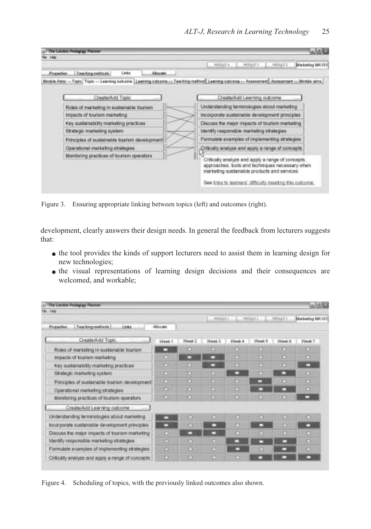

Figure 3. Ensuring appropriate linking between topics (left) and outcomes (right).

development, clearly answers their design needs. In general the feedback from lecturers suggests that:

- the tool provides the kinds of support lecturers need to assist them in learning design for new technologies;
- the visual representations of learning design decisions and their consequences are welcomed, and workable;

| The Landon Pedagogy Platner<br>Hotel              |          |        |             |        |                |         |                 |
|---------------------------------------------------|----------|--------|-------------|--------|----------------|---------|-----------------|
|                                                   |          |        | $-90004711$ |        | <b>HODAP 1</b> | HIGHES. | Marketing MK101 |
| Teaching methods<br>Links<br><b>Properties</b>    | Allocate |        |             |        |                |         |                 |
| Create(Add Topic                                  | Week 1   | Week 2 | Week 3      | Week 4 | Week 5         | Week 8  | Week T          |
| Roles of marketing in sustainable tourism         | □        | Ð      |             |        | o              | ь       | ю               |
| Impacts of tourism marketing                      | □        | ▭      | ⊏           | ▭      | ▭              | ▭       | а               |
| Key sustainability marketing practices            | D        | n      |             | ▭      | о              | ▭       | ▭               |
| Strategic marketing system.                       |          | о      |             |        | a              | □       | n               |
| Principles of sustainable tourism development.    | n        | o      |             | ▭      | ▭              | n       | ю               |
| Operational marketing strategies                  | o        | ю      | ▭           | ▭      | □              | ▭       | o               |
| Monitoring practices of tourism operators         |          | o      |             | O      | U              | ь       | ▭               |
| Create/Add Learning outcome                       |          |        |             |        |                |         |                 |
| Understanding terminologies about marketing       |          | o      | ▭           | ▭      | ▭              | ▭       | ▭               |
| Incorporate sustainable development principles    |          |        | ▭           | n      | ▭              | а       | ▭               |
| Discuss the major impacts of tourism marketing    | ю        | ▭      | ▭           | o      | o              | O       | e               |
| Identify responsible marketing strategies         | о        | o      | п           | □      | □              | □       | ▭               |
| Formulate examples of implementing strategies     | ь        | ▭      | ь           | ▭      | ю              | ▭       | о               |
| Critically analyze and apply a range of concepts. | Ð        | O      | n           | o      |                |         |                 |

Figure 4. Scheduling of topics, with the previously linked outcomes also shown.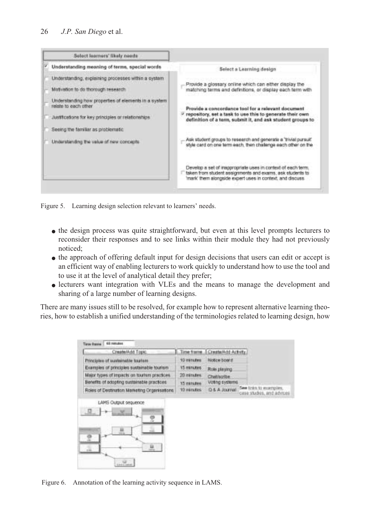| Select learners' likely needs                                                                                                                                             |                                                                                                                                                                                        |
|---------------------------------------------------------------------------------------------------------------------------------------------------------------------------|----------------------------------------------------------------------------------------------------------------------------------------------------------------------------------------|
| Understanding meaning of terms, special words                                                                                                                             | Select a Learning design                                                                                                                                                               |
| Understanding, explaining processes within a system<br>Motivation to do thorough research                                                                                 | Provide a glossary online which can either display the<br>matching terms and definitions, or display each term with                                                                    |
| Understanding how properties of elements in a system.<br>relate to each other.<br>Justituations for key principles or relationships<br>Seeing the familiar as problematic | Provide a concordance tool for a relevant document<br>repository, set a task to use this to generate their own<br>definition of a term, submit it, and ask student groups to           |
| Understanding the value of new concepts.                                                                                                                                  | Ask student groups to research and generate a 'trivial pursuit'<br>style card on one term each. then challenge each other on the                                                       |
|                                                                                                                                                                           | Develop a set of inappropriate uses in context of each term.<br>taken from student assignments and exams, ask students to<br>mark' them alongside expert uses in context, and discuss. |

Figure 5. Learning design selection relevant to learners' needs.

- the design process was quite straightforward, but even at this level prompts lecturers to reconsider their responses and to see links within their module they had not previously noticed;
- the approach of offering default input for design decisions that users can edit or accept is an efficient way of enabling lecturers to work quickly to understand how to use the tool and to use it at the level of analytical detail they prefer;
- lecturers want integration with VLEs and the means to manage the development and sharing of a large number of learning designs.

There are many issues still to be resolved, for example how to represent alternative learning theories, how to establish a unified understanding of the terminologies related to learning design, how

| Create/Add Topic.                                  |                   | Time frame. I Create/Add Actutty. |                                                     |
|----------------------------------------------------|-------------------|-----------------------------------|-----------------------------------------------------|
| Principles of supportative tractars                | 10 excutes        | Notice board.                     |                                                     |
| Examples of principles sustainable tourism         | 15 minutes:       | Role playing                      |                                                     |
| Major types of impacts on tourism practices.       | 20 varages        | Chatricribe.                      |                                                     |
| Benefits of adopting sustainable practices         | 15 minutes        | Voting systems                    |                                                     |
| Roles of Destination Marketing Organisations       | <b>10 minutes</b> | D. & A Journal                    | See très to ecorrigies.<br>case studes, and advices |
| LAMS Output sequence<br>$\mathcal{L}_{\text{max}}$ |                   |                                   |                                                     |
|                                                    |                   |                                   |                                                     |

Figure 6. Annotation of the learning activity sequence in LAMS.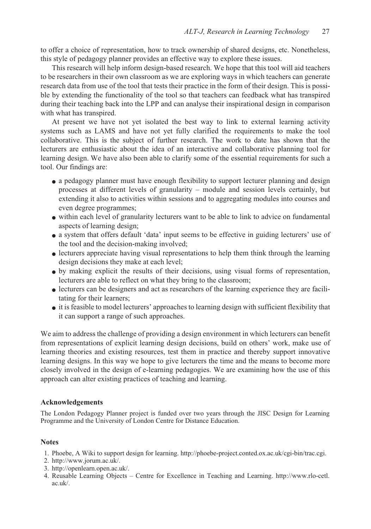to offer a choice of representation, how to track ownership of shared designs, etc. Nonetheless, this style of pedagogy planner provides an effective way to explore these issues.

This research will help inform design-based research. We hope that this tool will aid teachers to be researchers in their own classroom as we are exploring ways in which teachers can generate research data from use of the tool that tests their practice in the form of their design. This is possible by extending the functionality of the tool so that teachers can feedback what has transpired during their teaching back into the LPP and can analyse their inspirational design in comparison with what has transpired.

At present we have not yet isolated the best way to link to external learning activity systems such as LAMS and have not yet fully clarified the requirements to make the tool collaborative. This is the subject of further research. The work to date has shown that the lecturers are enthusiastic about the idea of an interactive and collaborative planning tool for learning design. We have also been able to clarify some of the essential requirements for such a tool. Our findings are:

- a pedagogy planner must have enough flexibility to support lecturer planning and design processes at different levels of granularity – module and session levels certainly, but extending it also to activities within sessions and to aggregating modules into courses and even degree programmes;
- within each level of granularity lecturers want to be able to link to advice on fundamental aspects of learning design;
- a system that offers default 'data' input seems to be effective in guiding lecturers' use of the tool and the decision-making involved;
- lecturers appreciate having visual representations to help them think through the learning design decisions they make at each level;
- by making explicit the results of their decisions, using visual forms of representation, lecturers are able to reflect on what they bring to the classroom;
- lecturers can be designers and act as researchers of the learning experience they are facilitating for their learners;
- it is feasible to model lecturers' approaches to learning design with sufficient flexibility that it can support a range of such approaches.

We aim to address the challenge of providing a design environment in which lecturers can benefit from representations of explicit learning design decisions, build on others' work, make use of learning theories and existing resources, test them in practice and thereby support innovative learning designs. In this way we hope to give lecturers the time and the means to become more closely involved in the design of e-learning pedagogies. We are examining how the use of this approach can alter existing practices of teaching and learning.

## **Acknowledgements**

The London Pedagogy Planner project is funded over two years through the JISC Design for Learning Programme and the University of London Centre for Distance Education.

## **Notes**

- 1. Phoebe, A Wiki to support design for learning. http://phoebe-project.conted.ox.ac.uk/cgi-bin/trac.cgi.
- 2. http://www.jorum.ac.uk/.
- 3. http://openlearn.open.ac.uk/.
- 4. Reusable Learning Objects Centre for Excellence in Teaching and Learning. http://www.rlo-cetl. ac.uk/.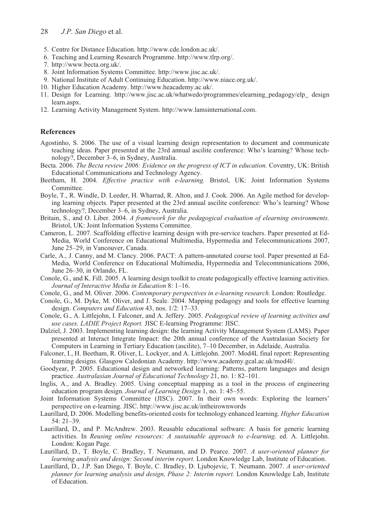#### 28 *J.P. San Diego* et al.

- 5. Centre for Distance Education. http://www.cde.london.ac.uk/.
- 6. Teaching and Learning Research Programme. http://www.tlrp.org/.
- 7. http://www.becta.org.uk/.
- 8. Joint Information Systems Committee. http://www.jisc.ac.uk/.
- 9. National Institute of Adult Continuing Education. http://www.niace.org.uk/.
- 10. Higher Education Academy. http://www.heacademy.ac.uk/.
- 11. Design for Learning. http://www.jisc.ac.uk/whatwedo/programmes/elearning\_pedagogy/elp\_ design learn.aspx.
- 12. Learning Activity Management System. http://www.lamsinternational.com.

#### **References**

- Agostinho, S. 2006. The use of a visual learning design representation to document and communicate teaching ideas. Paper presented at the 23rd annual ascilite conference: Who's learning? Whose technology?, December 3–6, in Sydney, Australia.
- Becta. 2006. *The Becta review 2006: Evidence on the progress of ICT in education.* Coventry, UK: British Educational Communications and Technology Agency.
- Beetham, H. 2004. *Effective practice with e-learning.* Bristol, UK: Joint Information Systems Committee.
- Boyle, T., R. Windle, D. Leeder, H. Wharrad, R. Alton, and J. Cook. 2006. An Agile method for developing learning objects. Paper presented at the 23rd annual ascilite conference: Who's learning? Whose technology?, December 3–6, in Sydney, Australia.
- Britain, S., and O. Liber. 2004. *A framework for the pedagogical evaluation of elearning environments.* Bristol, UK: Joint Information Systems Committee.
- Cameron, L. 2007. Scaffolding effective learning design with pre-service teachers. Paper presented at Ed-Media, World Conference on Educational Multimedia, Hypermedia and Telecommunications 2007, June 25–29, in Vancouver, Canada.
- Carle, A., J. Canny, and M. Clancy. 2006. PACT: A pattern-annotated course tool. Paper presented at Ed-Media, World Conference on Educational Multimedia, Hypermedia and Telecommunications 2006, June 26–30, in Orlando, FL.
- Conole, G., and K. Fill. 2005. A learning design toolkit to create pedagogically effective learning activities. *Journal of Interactive Media in Education* 8: 1–16.
- Conole, G., and M. Oliver. 2006. *Contemporary perspectives in e-learning research.* London: Routledge.
- Conole, G., M. Dyke, M. Oliver, and J. Seale. 2004. Mapping pedagogy and tools for effective learning design. *Computers and Education* 43, nos. 1/2: 17–33.
- Conole, G., A. Littlejohn, I. Falconer, and A. Jeffery. 2005. *Pedagogical review of learning activities and use cases. LADIE Project Report.* JISC E-learning Programme: JISC.
- Dalziel, J. 2003. Implementing learning design: the learning Activity Management System (LAMS). Paper presented at Interact Integrate Impact: the 20th annual conference of the Australasian Society for Computers in Learning in Tertiary Education (ascilite), 7–10 December, in Adelaide, Australia.
- Falconer, I., H. Beetham, R. Oliver, L. Lockyer, and A. Littlejohn. 2007. Mod4L final report: Representing learning designs. Glasgow Caledonian Academy. http://www.academy.gcal.ac.uk/mod4l/.
- Goodyear, P. 2005. Educational design and networked learning: Patterns, pattern languages and design practice. *Australasian Journal of Educational Technology* 21, no. 1: 82–101.
- Inglis, A., and A. Bradley. 2005. Using conceptual mapping as a tool in the process of engineering education program design. *Journal of Learning Design* 1, no. 1: 45–55.
- Joint Information Systems Committee (JISC). 2007. In their own words: Exploring the learners' perspective on e-learning. JISC. http://www.jisc.ac.uk/intheirownwords
- Laurillard, D. 2006. Modelling benefits-oriented costs for technology enhanced learning. *Higher Education*  $54:21-39$ .
- Laurillard, D., and P. McAndrew. 2003. Reusable educational software: A basis for generic learning activities. In *Reusing online resources: A sustainable approach to e-learning,* ed. A. Littlejohn. London: Kogan Page.
- Laurillard, D., T. Boyle, C. Bradley, T. Neumann, and D. Pearce. 2007. *A user-oriented planner for learning analysis and design: Second interim report.* London Knowledge Lab, Institute of Education.
- Laurillard, D., J.P. San Diego, T. Boyle, C. Bradley, D. Ljubojevic, T. Neumann. 2007. *A user-oriented planner for learning analysis and design, Phase 2: Interim report.* London Knowledge Lab, Institute of Education.